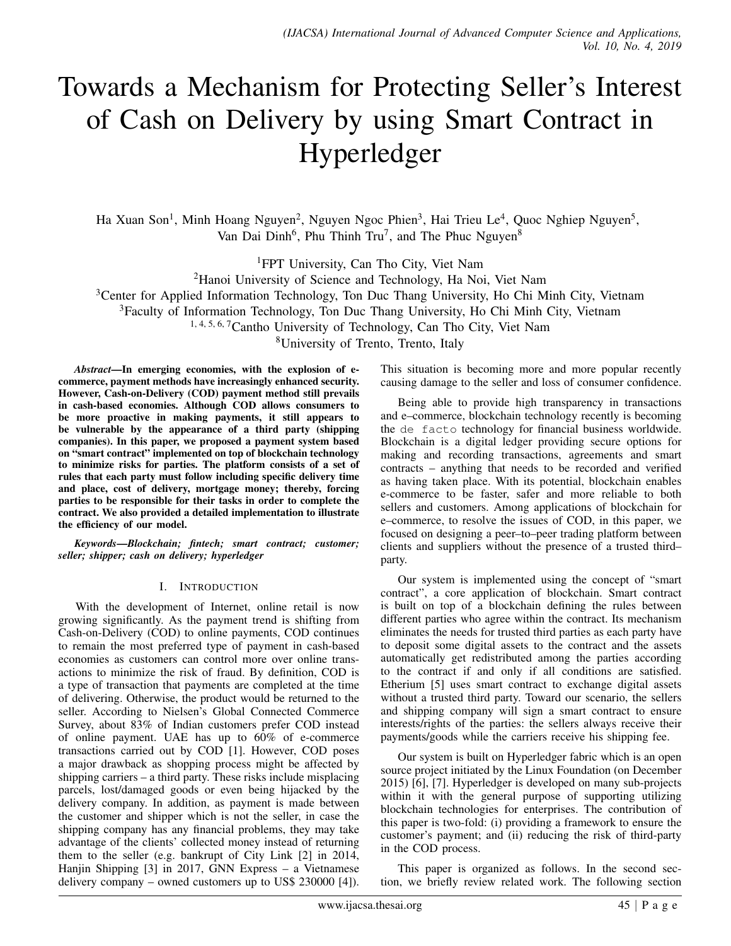# Towards a Mechanism for Protecting Seller's Interest of Cash on Delivery by using Smart Contract in Hyperledger

Ha Xuan Son<sup>1</sup>, Minh Hoang Nguyen<sup>2</sup>, Nguyen Ngoc Phien<sup>3</sup>, Hai Trieu Le<sup>4</sup>, Quoc Nghiep Nguyen<sup>5</sup>, Van Dai Dinh<sup>6</sup>, Phu Thinh Tru<sup>7</sup>, and The Phuc Nguyen<sup>8</sup>

<sup>1</sup>FPT University, Can Tho City, Viet Nam

<sup>2</sup>Hanoi University of Science and Technology, Ha Noi, Viet Nam

<sup>3</sup>Center for Applied Information Technology, Ton Duc Thang University, Ho Chi Minh City, Vietnam

<sup>3</sup>Faculty of Information Technology, Ton Duc Thang University, Ho Chi Minh City, Vietnam

1, 4, 5, 6, 7Cantho University of Technology, Can Tho City, Viet Nam

<sup>8</sup>University of Trento, Trento, Italy

*Abstract*—In emerging economies, with the explosion of ecommerce, payment methods have increasingly enhanced security. However, Cash-on-Delivery (COD) payment method still prevails in cash-based economies. Although COD allows consumers to be more proactive in making payments, it still appears to be vulnerable by the appearance of a third party (shipping companies). In this paper, we proposed a payment system based on "smart contract" implemented on top of blockchain technology to minimize risks for parties. The platform consists of a set of rules that each party must follow including specific delivery time and place, cost of delivery, mortgage money; thereby, forcing parties to be responsible for their tasks in order to complete the contract. We also provided a detailed implementation to illustrate the efficiency of our model.

*Keywords*—*Blockchain; fintech; smart contract; customer; seller; shipper; cash on delivery; hyperledger*

### I. INTRODUCTION

With the development of Internet, online retail is now growing significantly. As the payment trend is shifting from Cash-on-Delivery (COD) to online payments, COD continues to remain the most preferred type of payment in cash-based economies as customers can control more over online transactions to minimize the risk of fraud. By definition, COD is a type of transaction that payments are completed at the time of delivering. Otherwise, the product would be returned to the seller. According to Nielsen's Global Connected Commerce Survey, about 83% of Indian customers prefer COD instead of online payment. UAE has up to 60% of e-commerce transactions carried out by COD [1]. However, COD poses a major drawback as shopping process might be affected by shipping carriers – a third party. These risks include misplacing parcels, lost/damaged goods or even being hijacked by the delivery company. In addition, as payment is made between the customer and shipper which is not the seller, in case the shipping company has any financial problems, they may take advantage of the clients' collected money instead of returning them to the seller (e.g. bankrupt of City Link [2] in 2014, Hanjin Shipping [3] in 2017, GNN Express – a Vietnamese delivery company – owned customers up to US\$ 230000 [4]).

This situation is becoming more and more popular recently causing damage to the seller and loss of consumer confidence.

Being able to provide high transparency in transactions and e–commerce, blockchain technology recently is becoming the de facto technology for financial business worldwide. Blockchain is a digital ledger providing secure options for making and recording transactions, agreements and smart contracts – anything that needs to be recorded and verified as having taken place. With its potential, blockchain enables e-commerce to be faster, safer and more reliable to both sellers and customers. Among applications of blockchain for e–commerce, to resolve the issues of COD, in this paper, we focused on designing a peer–to–peer trading platform between clients and suppliers without the presence of a trusted third– party.

Our system is implemented using the concept of "smart contract", a core application of blockchain. Smart contract is built on top of a blockchain defining the rules between different parties who agree within the contract. Its mechanism eliminates the needs for trusted third parties as each party have to deposit some digital assets to the contract and the assets automatically get redistributed among the parties according to the contract if and only if all conditions are satisfied. Etherium [5] uses smart contract to exchange digital assets without a trusted third party. Toward our scenario, the sellers and shipping company will sign a smart contract to ensure interests/rights of the parties: the sellers always receive their payments/goods while the carriers receive his shipping fee.

Our system is built on Hyperledger fabric which is an open source project initiated by the Linux Foundation (on December 2015) [6], [7]. Hyperledger is developed on many sub-projects within it with the general purpose of supporting utilizing blockchain technologies for enterprises. The contribution of this paper is two-fold: (i) providing a framework to ensure the customer's payment; and (ii) reducing the risk of third-party in the COD process.

This paper is organized as follows. In the second section, we briefly review related work. The following section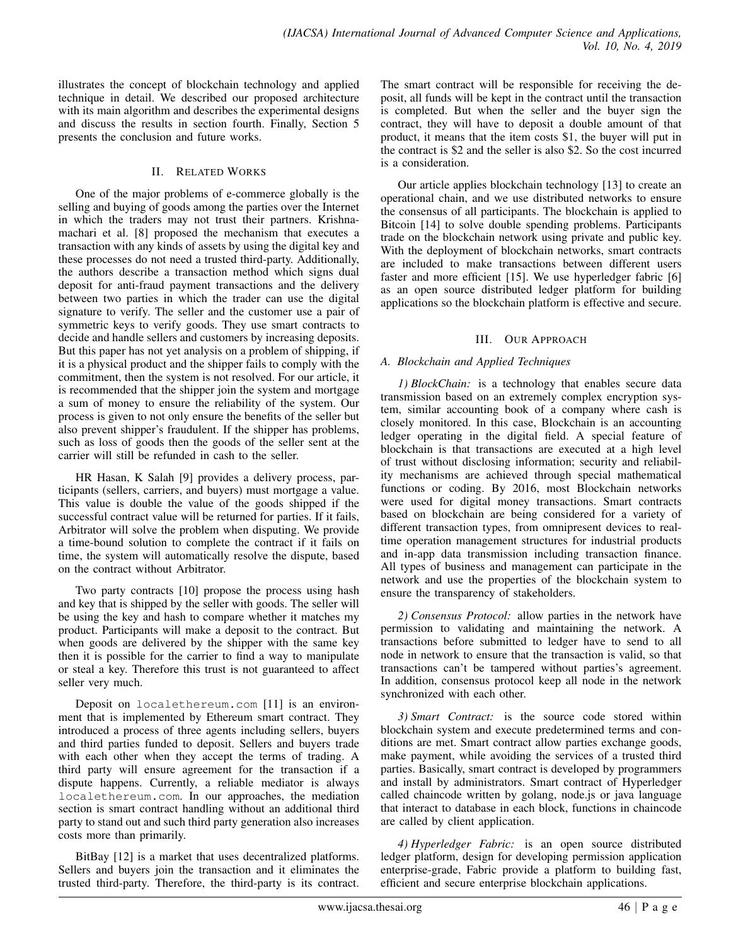illustrates the concept of blockchain technology and applied technique in detail. We described our proposed architecture with its main algorithm and describes the experimental designs and discuss the results in section fourth. Finally, Section 5 presents the conclusion and future works.

# II. RELATED WORKS

One of the major problems of e-commerce globally is the selling and buying of goods among the parties over the Internet in which the traders may not trust their partners. Krishnamachari et al. [8] proposed the mechanism that executes a transaction with any kinds of assets by using the digital key and these processes do not need a trusted third-party. Additionally, the authors describe a transaction method which signs dual deposit for anti-fraud payment transactions and the delivery between two parties in which the trader can use the digital signature to verify. The seller and the customer use a pair of symmetric keys to verify goods. They use smart contracts to decide and handle sellers and customers by increasing deposits. But this paper has not yet analysis on a problem of shipping, if it is a physical product and the shipper fails to comply with the commitment, then the system is not resolved. For our article, it is recommended that the shipper join the system and mortgage a sum of money to ensure the reliability of the system. Our process is given to not only ensure the benefits of the seller but also prevent shipper's fraudulent. If the shipper has problems, such as loss of goods then the goods of the seller sent at the carrier will still be refunded in cash to the seller.

HR Hasan, K Salah [9] provides a delivery process, participants (sellers, carriers, and buyers) must mortgage a value. This value is double the value of the goods shipped if the successful contract value will be returned for parties. If it fails, Arbitrator will solve the problem when disputing. We provide a time-bound solution to complete the contract if it fails on time, the system will automatically resolve the dispute, based on the contract without Arbitrator.

Two party contracts [10] propose the process using hash and key that is shipped by the seller with goods. The seller will be using the key and hash to compare whether it matches my product. Participants will make a deposit to the contract. But when goods are delivered by the shipper with the same key then it is possible for the carrier to find a way to manipulate or steal a key. Therefore this trust is not guaranteed to affect seller very much.

Deposit on localethereum.com [11] is an environment that is implemented by Ethereum smart contract. They introduced a process of three agents including sellers, buyers and third parties funded to deposit. Sellers and buyers trade with each other when they accept the terms of trading. A third party will ensure agreement for the transaction if a dispute happens. Currently, a reliable mediator is always localethereum.com. In our approaches, the mediation section is smart contract handling without an additional third party to stand out and such third party generation also increases costs more than primarily.

BitBay [12] is a market that uses decentralized platforms. Sellers and buyers join the transaction and it eliminates the trusted third-party. Therefore, the third-party is its contract. The smart contract will be responsible for receiving the deposit, all funds will be kept in the contract until the transaction is completed. But when the seller and the buyer sign the contract, they will have to deposit a double amount of that product, it means that the item costs \$1, the buyer will put in the contract is \$2 and the seller is also \$2. So the cost incurred is a consideration.

Our article applies blockchain technology [13] to create an operational chain, and we use distributed networks to ensure the consensus of all participants. The blockchain is applied to Bitcoin [14] to solve double spending problems. Participants trade on the blockchain network using private and public key. With the deployment of blockchain networks, smart contracts are included to make transactions between different users faster and more efficient [15]. We use hyperledger fabric [6] as an open source distributed ledger platform for building applications so the blockchain platform is effective and secure.

# III. OUR APPROACH

# *A. Blockchain and Applied Techniques*

*1) BlockChain:* is a technology that enables secure data transmission based on an extremely complex encryption system, similar accounting book of a company where cash is closely monitored. In this case, Blockchain is an accounting ledger operating in the digital field. A special feature of blockchain is that transactions are executed at a high level of trust without disclosing information; security and reliability mechanisms are achieved through special mathematical functions or coding. By 2016, most Blockchain networks were used for digital money transactions. Smart contracts based on blockchain are being considered for a variety of different transaction types, from omnipresent devices to realtime operation management structures for industrial products and in-app data transmission including transaction finance. All types of business and management can participate in the network and use the properties of the blockchain system to ensure the transparency of stakeholders.

*2) Consensus Protocol:* allow parties in the network have permission to validating and maintaining the network. A transactions before submitted to ledger have to send to all node in network to ensure that the transaction is valid, so that transactions can't be tampered without parties's agreement. In addition, consensus protocol keep all node in the network synchronized with each other.

*3) Smart Contract:* is the source code stored within blockchain system and execute predetermined terms and conditions are met. Smart contract allow parties exchange goods, make payment, while avoiding the services of a trusted third parties. Basically, smart contract is developed by programmers and install by administrators. Smart contract of Hyperledger called chaincode written by golang, node.js or java language that interact to database in each block, functions in chaincode are called by client application.

*4) Hyperledger Fabric:* is an open source distributed ledger platform, design for developing permission application enterprise-grade, Fabric provide a platform to building fast, efficient and secure enterprise blockchain applications.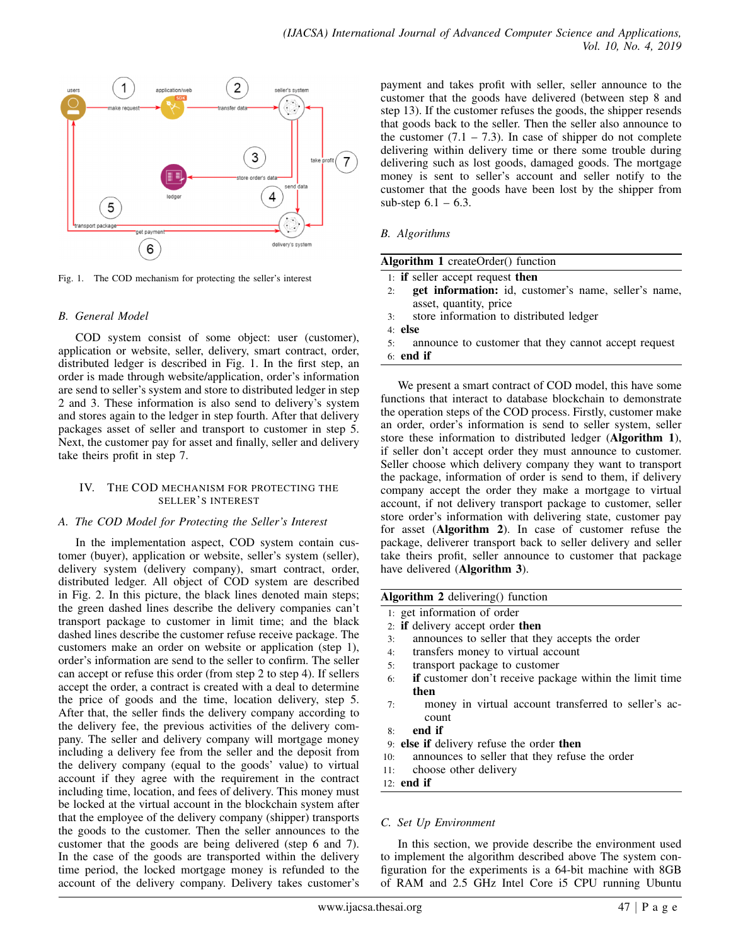

Fig. 1. The COD mechanism for protecting the seller's interest

# *B. General Model*

COD system consist of some object: user (customer), application or website, seller, delivery, smart contract, order, distributed ledger is described in Fig. 1. In the first step, an order is made through website/application, order's information are send to seller's system and store to distributed ledger in step 2 and 3. These information is also send to delivery's system and stores again to the ledger in step fourth. After that delivery packages asset of seller and transport to customer in step 5. Next, the customer pay for asset and finally, seller and delivery take theirs profit in step 7.

# IV. THE COD MECHANISM FOR PROTECTING THE SELLER'S INTEREST

### *A. The COD Model for Protecting the Seller's Interest*

In the implementation aspect, COD system contain customer (buyer), application or website, seller's system (seller), delivery system (delivery company), smart contract, order, distributed ledger. All object of COD system are described in Fig. 2. In this picture, the black lines denoted main steps; the green dashed lines describe the delivery companies can't transport package to customer in limit time; and the black dashed lines describe the customer refuse receive package. The customers make an order on website or application (step 1), order's information are send to the seller to confirm. The seller can accept or refuse this order (from step 2 to step 4). If sellers accept the order, a contract is created with a deal to determine the price of goods and the time, location delivery, step 5. After that, the seller finds the delivery company according to the delivery fee, the previous activities of the delivery company. The seller and delivery company will mortgage money including a delivery fee from the seller and the deposit from the delivery company (equal to the goods' value) to virtual account if they agree with the requirement in the contract including time, location, and fees of delivery. This money must be locked at the virtual account in the blockchain system after that the employee of the delivery company (shipper) transports the goods to the customer. Then the seller announces to the customer that the goods are being delivered (step 6 and 7). In the case of the goods are transported within the delivery time period, the locked mortgage money is refunded to the account of the delivery company. Delivery takes customer's

payment and takes profit with seller, seller announce to the customer that the goods have delivered (between step 8 and step 13). If the customer refuses the goods, the shipper resends that goods back to the seller. Then the seller also announce to the customer  $(7.1 - 7.3)$ . In case of shipper do not complete delivering within delivery time or there some trouble during delivering such as lost goods, damaged goods. The mortgage money is sent to seller's account and seller notify to the customer that the goods have been lost by the shipper from sub-step  $6.1 - 6.3$ .

# *B. Algorithms*

| <b>Algorithm 1</b> createOrder() function                  |
|------------------------------------------------------------|
| 1: <b>if</b> seller accept request <b>then</b>             |
| get information: id, customer's name, seller's name,<br>2: |
| asset, quantity, price                                     |
| store information to distributed ledger<br>3:              |
| $4:$ else                                                  |
| announce to customer that they cannot accept request<br>5: |
| $6:$ end if                                                |
|                                                            |

We present a smart contract of COD model, this have some functions that interact to database blockchain to demonstrate the operation steps of the COD process. Firstly, customer make an order, order's information is send to seller system, seller store these information to distributed ledger (Algorithm 1), if seller don't accept order they must announce to customer. Seller choose which delivery company they want to transport the package, information of order is send to them, if delivery company accept the order they make a mortgage to virtual account, if not delivery transport package to customer, seller store order's information with delivering state, customer pay for asset (Algorithm 2). In case of customer refuse the package, deliverer transport back to seller delivery and seller take theirs profit, seller announce to customer that package have delivered (Algorithm 3).

Algorithm 2 delivering() function

- 1: get information of order
- 2: if delivery accept order then
- 3: announces to seller that they accepts the order
- 4: transfers money to virtual account
- 5: transport package to customer
- 6: if customer don't receive package within the limit time then
- 7: money in virtual account transferred to seller's account
- 8: end if
- 9: else if delivery refuse the order then
- 10: announces to seller that they refuse the order
- 11: choose other delivery
- 12: end if

### *C. Set Up Environment*

In this section, we provide describe the environment used to implement the algorithm described above The system configuration for the experiments is a 64-bit machine with 8GB of RAM and 2.5 GHz Intel Core i5 CPU running Ubuntu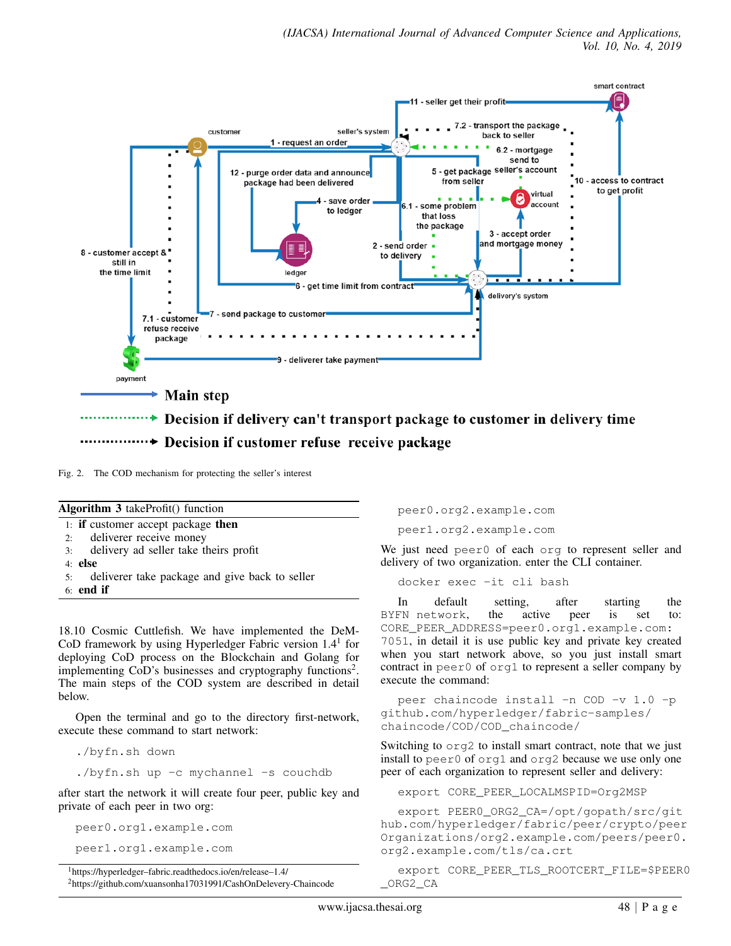

Fig. 2. The COD mechanism for protecting the seller's interest

| Fig. 2. The COD mechanism for protecting the seller's interest                                                                                                                                                                                                |                                                                                                              |
|---------------------------------------------------------------------------------------------------------------------------------------------------------------------------------------------------------------------------------------------------------------|--------------------------------------------------------------------------------------------------------------|
| <b>Algorithm 3</b> takeProfit() function                                                                                                                                                                                                                      | peer0.org2                                                                                                   |
| 1: <b>if</b> customer accept package <b>then</b><br>deliverer receive money<br>2:                                                                                                                                                                             | peer1.org2                                                                                                   |
| delivery ad seller take theirs profit<br>3:<br>$4:$ else                                                                                                                                                                                                      | We just need $p \in$<br>delivery of two of                                                                   |
| deliverer take package and give back to seller<br>5:<br>$6:$ end if                                                                                                                                                                                           | docker exe                                                                                                   |
| 18.10 Cosmic Cuttlefish. We have implemented the DeM-<br>CoD framework by using Hyperledger Fabric version $1.41$ for<br>deploying CoD process on the Blockchain and Golang for<br>implementing $CoD$ 's businesses and cryptography functions <sup>2</sup> . | default<br>In.<br>BYFN network<br>CORE PEER AD<br>$7051$ , in detail i<br>when you start<br>contract in peer |

The main steps of the COD system are described in detail below.

Open the terminal and go to the directory first-network, execute these command to start network:

./byfn.sh down

./byfn.sh up -c mychannel -s couchdb

after start the network it will create four peer, public key and private of each peer in two org:

peer0.org1.example.com peer1.org1.example.com

<sup>1</sup>https://hyperledger–fabric.readthedocs.io/en/release–1.4/

<sup>2</sup>https://github.com/xuansonha17031991/CashOnDelevery-Chaincode

2.example.com

2.example.com

eer0 of each org to represent seller and organization. enter the CLI container.

ec -it cli bash

setting, after starting the BYFN network, the active peer is set to: DRESS=peer0.org1.example.com: it is use public key and private key created network above, so you just install smart 0 of org1 to represent a seller company by execute the command:

peer chaincode install -n COD -v 1.0 -p github.com/hyperledger/fabric-samples/ chaincode/COD/COD\_chaincode/

Switching to org2 to install smart contract, note that we just install to peer0 of org1 and org2 because we use only one peer of each organization to represent seller and delivery:

export CORE\_PEER\_LOCALMSPID=Org2MSP

export PEER0\_ORG2\_CA=/opt/gopath/src/git hub.com/hyperledger/fabric/peer/crypto/peer Organizations/org2.example.com/peers/peer0. org2.example.com/tls/ca.crt

export CORE\_PEER\_TLS\_ROOTCERT\_FILE=\$PEER0 \_ORG2\_CA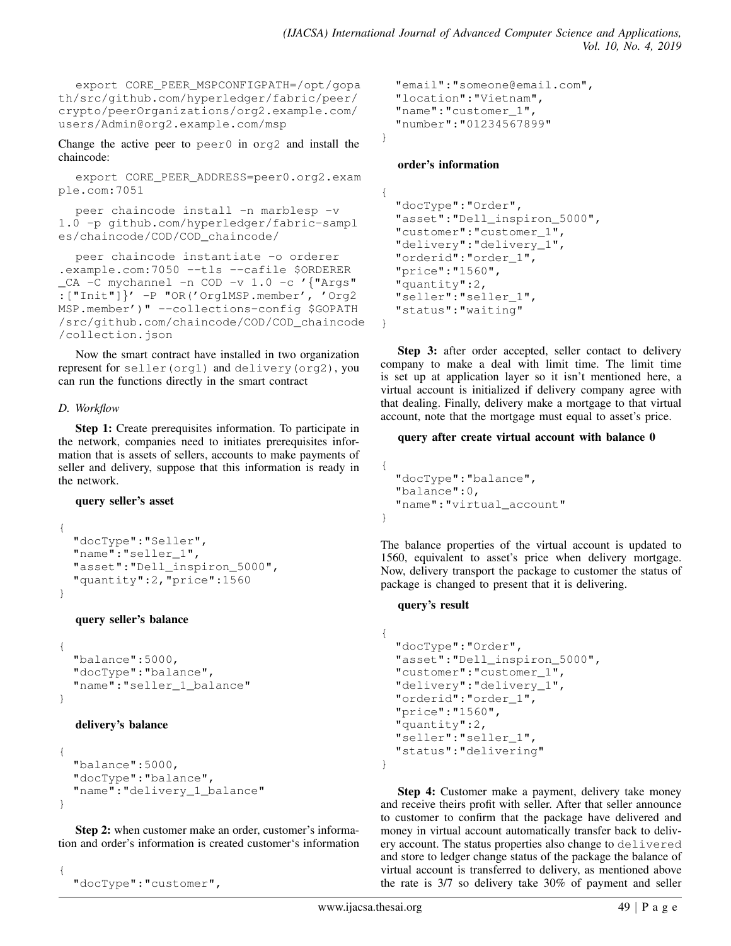export CORE\_PEER\_MSPCONFIGPATH=/opt/gopa th/src/github.com/hyperledger/fabric/peer/ crypto/peerOrganizations/org2.example.com/ users/Admin@org2.example.com/msp

Change the active peer to peer0 in org2 and install the chaincode:

export CORE\_PEER\_ADDRESS=peer0.org2.exam ple.com:7051

peer chaincode install -n marblesp -v 1.0 -p github.com/hyperledger/fabric-sampl es/chaincode/COD/COD\_chaincode/

```
peer chaincode instantiate -o orderer
.example.com:7050 --tls --cafile $ORDERER
_CA -C mychannel -n COD -v 1.0 -c '{"Args"
:["Init"]}' -P "OR('Org1MSP.member', 'Org2
MSP.member')" --collections-config $GOPATH
/src/github.com/chaincode/COD/COD_chaincode
/collection.json
```
Now the smart contract have installed in two organization represent for seller(org1) and delivery(org2), you can run the functions directly in the smart contract

# *D. Workflow*

Step 1: Create prerequisites information. To participate in the network, companies need to initiates prerequisites information that is assets of sellers, accounts to make payments of seller and delivery, suppose that this information is ready in the network.

### query seller's asset

```
{
  "docType":"Seller",
  "name":"seller_1",
  "asset": "Dell inspiron 5000",
  "quantity":2,"price":1560
}
```
# query seller's balance

```
{
  "balance":5000,
  "docType":"balance",
  "name":"seller_1_balance"
}
```
# delivery's balance

```
{
  "balance":5000,
  "docType":"balance",
  "name": "delivery 1 balance"
}
```
Step 2: when customer make an order, customer's information and order's information is created customer's information

```
{
  "docType":"customer",
```

```
"email":"someone@email.com",
"location":"Vietnam",
"name":"customer_1",
"number":"01234567899"
```
}

# order's information

```
{
  "docType":"Order",
  "asset":"Dell_inspiron_5000",
  "customer":"customer_1",
  "delivery":"delivery_1",
  "orderid":"order_1",
  "price":"1560",
  "quantity":2,
  "seller":"seller_1",
  "status":"waiting"
}
```
Step 3: after order accepted, seller contact to delivery company to make a deal with limit time. The limit time is set up at application layer so it isn't mentioned here, a virtual account is initialized if delivery company agree with that dealing. Finally, delivery make a mortgage to that virtual account, note that the mortgage must equal to asset's price.

# query after create virtual account with balance 0

```
{
  "docType":"balance",
  "balance":0,
  "name":"virtual_account"
}
```
The balance properties of the virtual account is updated to 1560, equivalent to asset's price when delivery mortgage. Now, delivery transport the package to customer the status of package is changed to present that it is delivering.

### query's result

```
{
  "docType":"Order",
  "asset":"Dell_inspiron_5000",
  "customer":"customer_1",
  "delivery":"delivery_1",
  "orderid":"order_1",
  "price":"1560",
  "quantity":2,
  "seller":"seller_1",
  "status":"delivering"
}
```
Step 4: Customer make a payment, delivery take money and receive theirs profit with seller. After that seller announce to customer to confirm that the package have delivered and money in virtual account automatically transfer back to delivery account. The status properties also change to delivered and store to ledger change status of the package the balance of virtual account is transferred to delivery, as mentioned above the rate is 3/7 so delivery take 30% of payment and seller